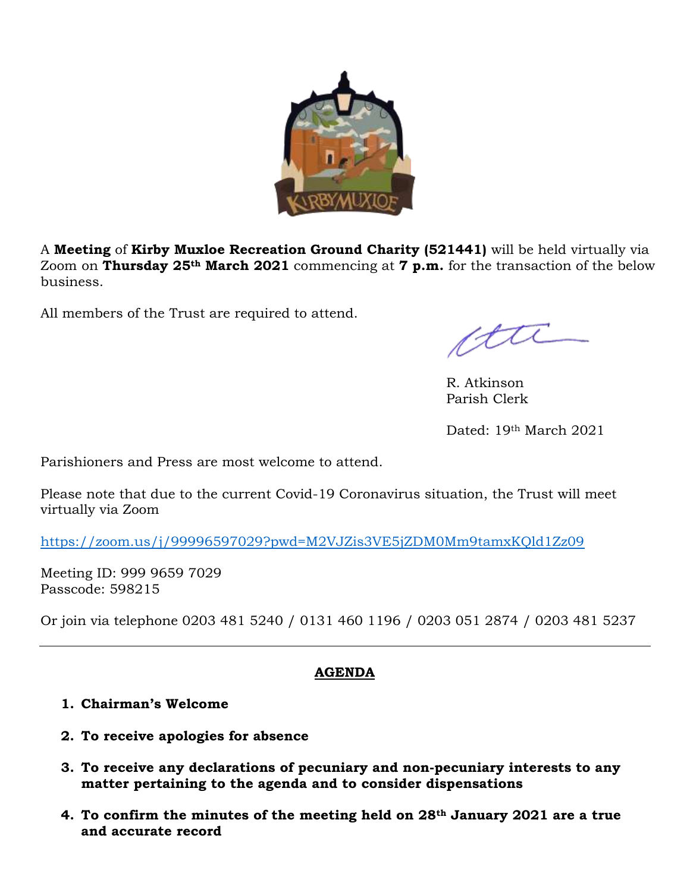

A **Meeting** of **Kirby Muxloe Recreation Ground Charity (521441)** will be held virtually via Zoom on **Thursday 25th March 2021** commencing at **7 p.m.** for the transaction of the below business.

All members of the Trust are required to attend.

cttl

R. Atkinson Parish Clerk

Dated: 19th March 2021

Parishioners and Press are most welcome to attend.

Please note that due to the current Covid-19 Coronavirus situation, the Trust will meet virtually via Zoom

<https://zoom.us/j/99996597029?pwd=M2VJZis3VE5jZDM0Mm9tamxKQld1Zz09>

Meeting ID: 999 9659 7029 Passcode: 598215

Or join via telephone 0203 481 5240 / 0131 460 1196 / 0203 051 2874 / 0203 481 5237

# **AGENDA**

#### **1. Chairman's Welcome**

- **2. To receive apologies for absence**
- **3. To receive any declarations of pecuniary and non-pecuniary interests to any matter pertaining to the agenda and to consider dispensations**
- **4. To confirm the minutes of the meeting held on 28th January 2021 are a true and accurate record**